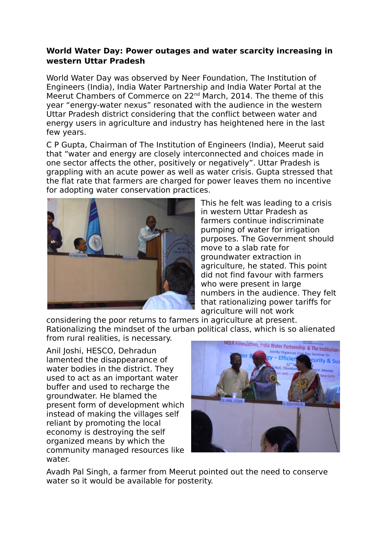## **World Water Day: Power outages and water scarcity increasing in western Uttar Pradesh**

World Water Day was observed by Neer Foundation, The Institution of Engineers (India), India Water Partnership and India Water Portal at the Meerut Chambers of Commerce on 22nd March, 2014. The theme of this year "energy-water nexus" resonated with the audience in the western Uttar Pradesh district considering that the conflict between water and energy users in agriculture and industry has heightened here in the last few years.

C P Gupta, Chairman of The Institution of Engineers (India), Meerut said that "water and energy are closely interconnected and choices made in one sector affects the other, positively or negatively". Uttar Pradesh is grappling with an acute power as well as water crisis. Gupta stressed that the flat rate that farmers are charged for power leaves them no incentive for adopting water conservation practices.



This he felt was leading to a crisis in western Uttar Pradesh as farmers continue indiscriminate pumping of water for irrigation purposes. The Government should move to a slab rate for groundwater extraction in agriculture, he stated. This point did not find favour with farmers who were present in large numbers in the audience. They felt that rationalizing power tariffs for agriculture will not work

considering the poor returns to farmers in agriculture at present. Rationalizing the mindset of the urban political class, which is so alienated from rural realities, is necessary.

Anil Joshi, HESCO, Dehradun lamented the disappearance of water bodies in the district. They used to act as an important water buffer and used to recharge the groundwater. He blamed the present form of development which instead of making the villages self reliant by promoting the local economy is destroying the self organized means by which the community managed resources like water.



Avadh Pal Singh, a farmer from Meerut pointed out the need to conserve water so it would be available for posterity.